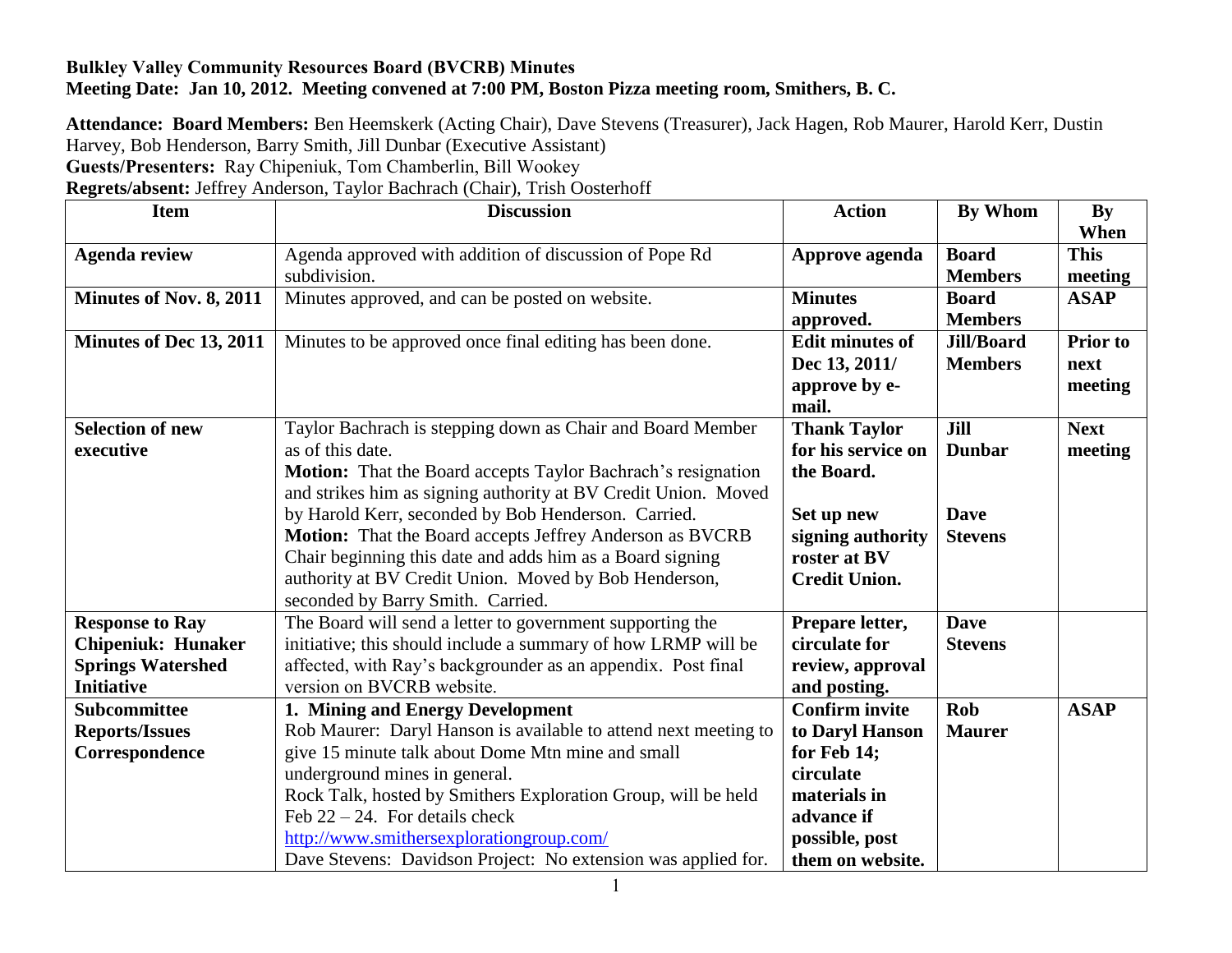## **Bulkley Valley Community Resources Board (BVCRB) Minutes Meeting Date: Jan 10, 2012. Meeting convened at 7:00 PM, Boston Pizza meeting room, Smithers, B. C.**

**Attendance: Board Members:** Ben Heemskerk (Acting Chair), Dave Stevens (Treasurer), Jack Hagen, Rob Maurer, Harold Kerr, Dustin Harvey, Bob Henderson, Barry Smith, Jill Dunbar (Executive Assistant) **Guests/Presenters:** Ray Chipeniuk, Tom Chamberlin, Bill Wookey

**Regrets/absent:** Jeffrey Anderson, Taylor Bachrach (Chair), Trish Oosterhoff

| <b>Item</b>               | <b>Discussion</b>                                                   | <b>Action</b>          | <b>By Whom</b>    | $\mathbf{B}\mathbf{v}$ |
|---------------------------|---------------------------------------------------------------------|------------------------|-------------------|------------------------|
|                           |                                                                     |                        |                   | When                   |
| <b>Agenda review</b>      | Agenda approved with addition of discussion of Pope Rd              | Approve agenda         | <b>Board</b>      | <b>This</b>            |
|                           | subdivision.                                                        |                        | <b>Members</b>    | meeting                |
| Minutes of Nov. 8, 2011   | Minutes approved, and can be posted on website.                     | <b>Minutes</b>         | <b>Board</b>      | <b>ASAP</b>            |
|                           |                                                                     | approved.              | <b>Members</b>    |                        |
| Minutes of Dec 13, 2011   | Minutes to be approved once final editing has been done.            | <b>Edit minutes of</b> | <b>Jill/Board</b> | <b>Prior</b> to        |
|                           |                                                                     | Dec 13, 2011/          | <b>Members</b>    | next                   |
|                           |                                                                     | approve by e-          |                   | meeting                |
|                           |                                                                     | mail.                  |                   |                        |
| <b>Selection of new</b>   | Taylor Bachrach is stepping down as Chair and Board Member          | <b>Thank Taylor</b>    | Jill              | <b>Next</b>            |
| executive                 | as of this date.                                                    | for his service on     | <b>Dunbar</b>     | meeting                |
|                           | <b>Motion:</b> That the Board accepts Taylor Bachrach's resignation | the Board.             |                   |                        |
|                           | and strikes him as signing authority at BV Credit Union. Moved      |                        |                   |                        |
|                           | by Harold Kerr, seconded by Bob Henderson. Carried.                 | Set up new             | <b>Dave</b>       |                        |
|                           | Motion: That the Board accepts Jeffrey Anderson as BVCRB            | signing authority      | <b>Stevens</b>    |                        |
|                           | Chair beginning this date and adds him as a Board signing           | roster at BV           |                   |                        |
|                           | authority at BV Credit Union. Moved by Bob Henderson,               | <b>Credit Union.</b>   |                   |                        |
|                           | seconded by Barry Smith. Carried.                                   |                        |                   |                        |
| <b>Response to Ray</b>    | The Board will send a letter to government supporting the           | Prepare letter,        | <b>Dave</b>       |                        |
| <b>Chipeniuk: Hunaker</b> | initiative; this should include a summary of how LRMP will be       | circulate for          | <b>Stevens</b>    |                        |
| <b>Springs Watershed</b>  | affected, with Ray's backgrounder as an appendix. Post final        | review, approval       |                   |                        |
| <b>Initiative</b>         | version on BVCRB website.                                           | and posting.           |                   |                        |
| <b>Subcommittee</b>       | 1. Mining and Energy Development                                    | <b>Confirm invite</b>  | <b>Rob</b>        | <b>ASAP</b>            |
| <b>Reports/Issues</b>     | Rob Maurer: Daryl Hanson is available to attend next meeting to     | to Daryl Hanson        | <b>Maurer</b>     |                        |
| Correspondence            | give 15 minute talk about Dome Mtn mine and small                   | for Feb 14;            |                   |                        |
|                           | underground mines in general.                                       | circulate              |                   |                        |
|                           | Rock Talk, hosted by Smithers Exploration Group, will be held       | materials in           |                   |                        |
|                           | Feb $22 - 24$ . For details check                                   | advance if             |                   |                        |
|                           | http://www.smithersexplorationgroup.com/                            | possible, post         |                   |                        |
|                           | Dave Stevens: Davidson Project: No extension was applied for.       | them on website.       |                   |                        |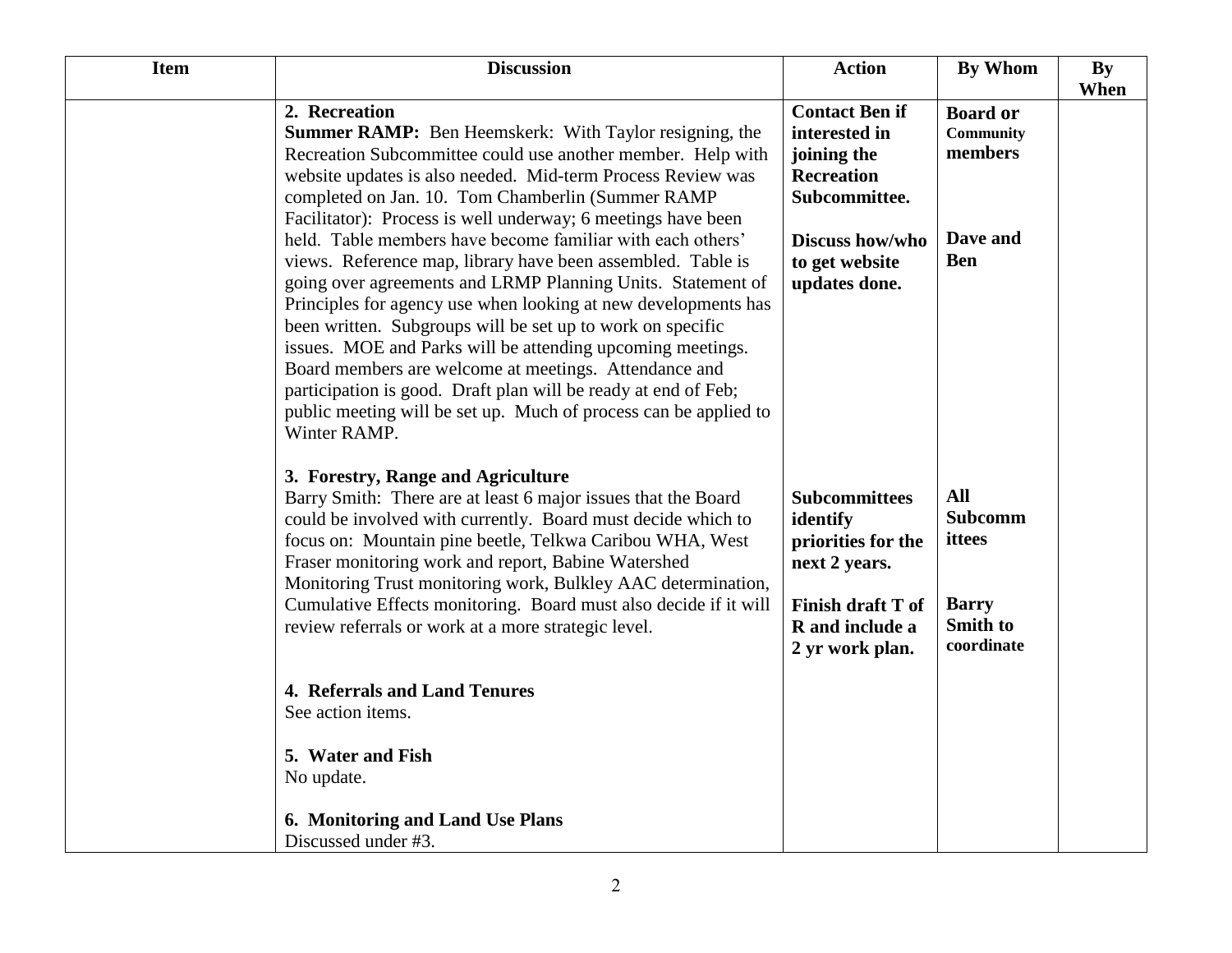| <b>Item</b> | <b>Discussion</b>                                                                                                                                                                                                                                                                                                                                                                                                                                                                                                                                                                                                                                                                                                                                                                                                                                                                                                                          | <b>Action</b>                                                                                                                                     | <b>By Whom</b>                                                                          | <b>By</b> |
|-------------|--------------------------------------------------------------------------------------------------------------------------------------------------------------------------------------------------------------------------------------------------------------------------------------------------------------------------------------------------------------------------------------------------------------------------------------------------------------------------------------------------------------------------------------------------------------------------------------------------------------------------------------------------------------------------------------------------------------------------------------------------------------------------------------------------------------------------------------------------------------------------------------------------------------------------------------------|---------------------------------------------------------------------------------------------------------------------------------------------------|-----------------------------------------------------------------------------------------|-----------|
|             | 2. Recreation<br><b>Summer RAMP:</b> Ben Heemskerk: With Taylor resigning, the<br>Recreation Subcommittee could use another member. Help with<br>website updates is also needed. Mid-term Process Review was<br>completed on Jan. 10. Tom Chamberlin (Summer RAMP<br>Facilitator): Process is well underway; 6 meetings have been<br>held. Table members have become familiar with each others'<br>views. Reference map, library have been assembled. Table is<br>going over agreements and LRMP Planning Units. Statement of<br>Principles for agency use when looking at new developments has<br>been written. Subgroups will be set up to work on specific<br>issues. MOE and Parks will be attending upcoming meetings.<br>Board members are welcome at meetings. Attendance and<br>participation is good. Draft plan will be ready at end of Feb;<br>public meeting will be set up. Much of process can be applied to<br>Winter RAMP. | <b>Contact Ben if</b><br>interested in<br>joining the<br><b>Recreation</b><br>Subcommittee.<br>Discuss how/who<br>to get website<br>updates done. | <b>Board or</b><br><b>Community</b><br>members<br>Dave and<br><b>Ben</b>                | When      |
|             | 3. Forestry, Range and Agriculture<br>Barry Smith: There are at least 6 major issues that the Board<br>could be involved with currently. Board must decide which to<br>focus on: Mountain pine beetle, Telkwa Caribou WHA, West<br>Fraser monitoring work and report, Babine Watershed<br>Monitoring Trust monitoring work, Bulkley AAC determination,<br>Cumulative Effects monitoring. Board must also decide if it will<br>review referrals or work at a more strategic level.                                                                                                                                                                                                                                                                                                                                                                                                                                                          | <b>Subcommittees</b><br>identify<br>priorities for the<br>next 2 years.<br><b>Finish draft T of</b><br>R and include a<br>2 yr work plan.         | <b>All</b><br><b>Subcomm</b><br>ittees<br><b>Barry</b><br><b>Smith to</b><br>coordinate |           |
|             | 4. Referrals and Land Tenures<br>See action items.<br>5. Water and Fish<br>No update.                                                                                                                                                                                                                                                                                                                                                                                                                                                                                                                                                                                                                                                                                                                                                                                                                                                      |                                                                                                                                                   |                                                                                         |           |
|             | 6. Monitoring and Land Use Plans<br>Discussed under #3.                                                                                                                                                                                                                                                                                                                                                                                                                                                                                                                                                                                                                                                                                                                                                                                                                                                                                    |                                                                                                                                                   |                                                                                         |           |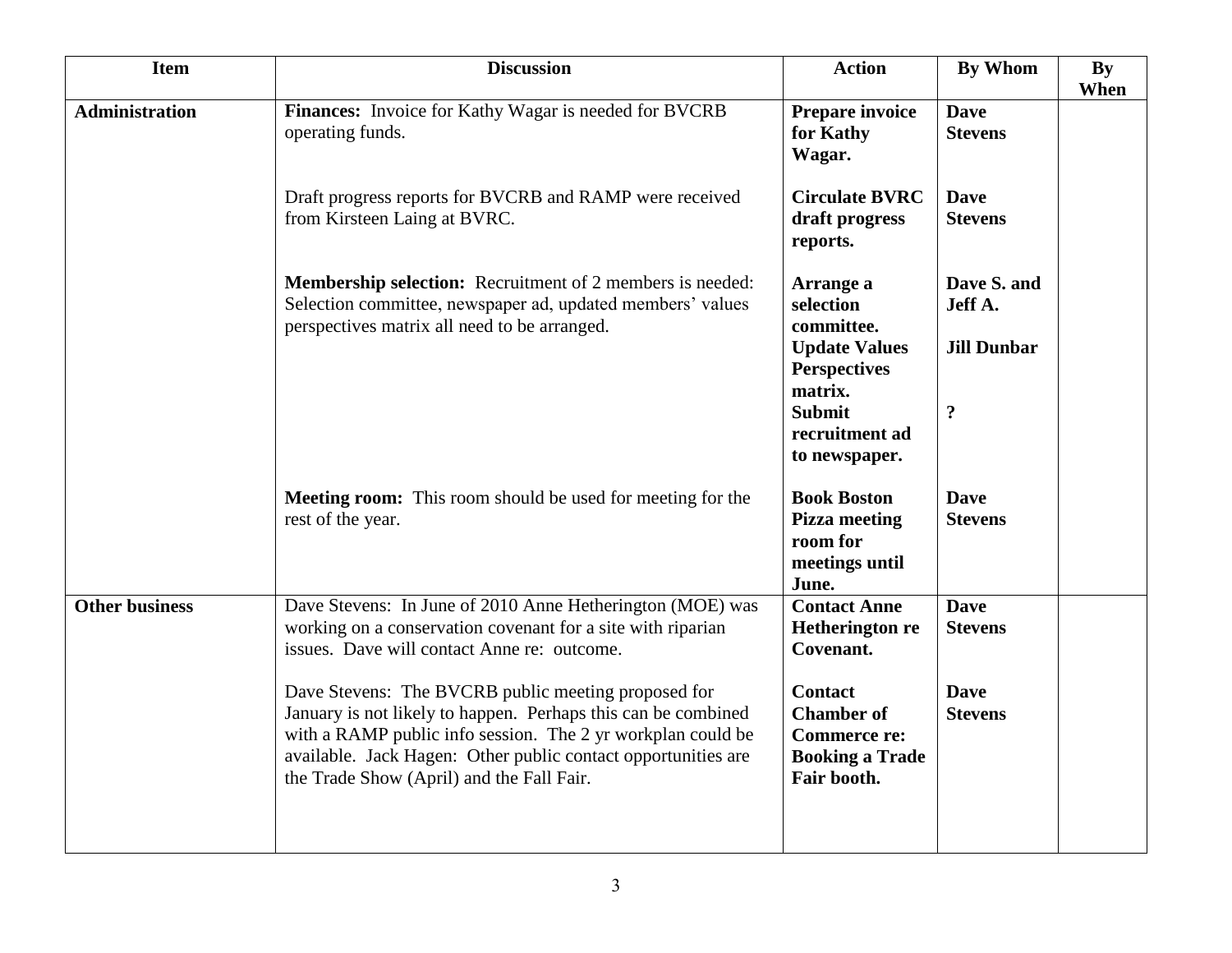| <b>Item</b>           | <b>Discussion</b>                                                                                                                                                                                                                                                                                 | <b>Action</b>                                                                                                                                      | By Whom                                                        | By<br>When |
|-----------------------|---------------------------------------------------------------------------------------------------------------------------------------------------------------------------------------------------------------------------------------------------------------------------------------------------|----------------------------------------------------------------------------------------------------------------------------------------------------|----------------------------------------------------------------|------------|
| <b>Administration</b> | Finances: Invoice for Kathy Wagar is needed for BVCRB<br>operating funds.                                                                                                                                                                                                                         | <b>Prepare invoice</b><br>for Kathy<br>Wagar.                                                                                                      | <b>Dave</b><br><b>Stevens</b>                                  |            |
|                       | Draft progress reports for BVCRB and RAMP were received<br>from Kirsteen Laing at BVRC.                                                                                                                                                                                                           | <b>Circulate BVRC</b><br>draft progress<br>reports.                                                                                                | <b>Dave</b><br><b>Stevens</b>                                  |            |
|                       | Membership selection: Recruitment of 2 members is needed:<br>Selection committee, newspaper ad, updated members' values<br>perspectives matrix all need to be arranged.                                                                                                                           | Arrange a<br>selection<br>committee.<br><b>Update Values</b><br><b>Perspectives</b><br>matrix.<br><b>Submit</b><br>recruitment ad<br>to newspaper. | Dave S. and<br>Jeff A.<br><b>Jill Dunbar</b><br>$\ddot{\cdot}$ |            |
|                       | <b>Meeting room:</b> This room should be used for meeting for the<br>rest of the year.                                                                                                                                                                                                            | <b>Book Boston</b><br><b>Pizza meeting</b><br>room for<br>meetings until<br>June.                                                                  | <b>Dave</b><br><b>Stevens</b>                                  |            |
| <b>Other business</b> | Dave Stevens: In June of 2010 Anne Hetherington (MOE) was<br>working on a conservation covenant for a site with riparian<br>issues. Dave will contact Anne re: outcome.                                                                                                                           | <b>Contact Anne</b><br><b>Hetherington re</b><br>Covenant.                                                                                         | <b>Dave</b><br><b>Stevens</b>                                  |            |
|                       | Dave Stevens: The BVCRB public meeting proposed for<br>January is not likely to happen. Perhaps this can be combined<br>with a RAMP public info session. The 2 yr workplan could be<br>available. Jack Hagen: Other public contact opportunities are<br>the Trade Show (April) and the Fall Fair. | <b>Contact</b><br><b>Chamber of</b><br><b>Commerce re:</b><br><b>Booking a Trade</b><br>Fair booth.                                                | <b>Dave</b><br><b>Stevens</b>                                  |            |